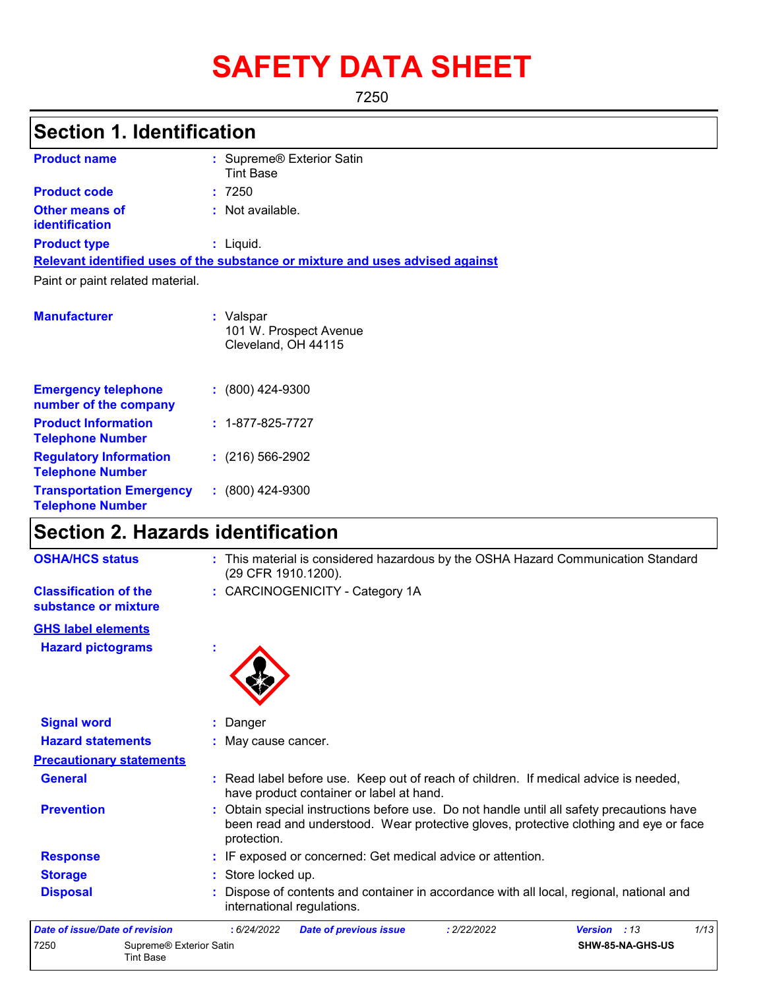# **SAFETY DATA SHEET**

7250

# **Section 1. Identification**

| <b>Product name</b>                            | : Supreme® Exterior Satin<br><b>Tint Base</b>                                 |
|------------------------------------------------|-------------------------------------------------------------------------------|
| <b>Product code</b>                            | :7250                                                                         |
| <b>Other means of</b><br><b>identification</b> | : Not available.                                                              |
| <b>Product type</b>                            | $:$ Liquid.                                                                   |
|                                                | Relevant identified uses of the substance or mixture and uses advised against |
| Paint or paint related material.               |                                                                               |
| <b>Manufacturer</b>                            | : Valspar<br>101 W. Prospect Avenue                                           |

|                                                            | Cleveland, OH 44115      |
|------------------------------------------------------------|--------------------------|
| <b>Emergency telephone</b><br>number of the company        | $: (800)$ 424-9300       |
| <b>Product Information</b><br><b>Telephone Number</b>      | $: 1 - 877 - 825 - 7727$ |
| <b>Regulatory Information</b><br><b>Telephone Number</b>   | $: (216) 566 - 2902$     |
| <b>Transportation Emergency</b><br><b>Telephone Number</b> | $: (800)$ 424-9300       |

## **Section 2. Hazards identification**

| <b>OSHA/HCS status</b>                               | : This material is considered hazardous by the OSHA Hazard Communication Standard<br>(29 CFR 1910.1200).                                                                                          |
|------------------------------------------------------|---------------------------------------------------------------------------------------------------------------------------------------------------------------------------------------------------|
| <b>Classification of the</b><br>substance or mixture | : CARCINOGENICITY - Category 1A                                                                                                                                                                   |
| <b>GHS label elements</b>                            |                                                                                                                                                                                                   |
| <b>Hazard pictograms</b>                             |                                                                                                                                                                                                   |
| <b>Signal word</b>                                   | : Danger                                                                                                                                                                                          |
| <b>Hazard statements</b>                             | : May cause cancer.                                                                                                                                                                               |
| <b>Precautionary statements</b>                      |                                                                                                                                                                                                   |
| <b>General</b>                                       | : Read label before use. Keep out of reach of children. If medical advice is needed,<br>have product container or label at hand.                                                                  |
| <b>Prevention</b>                                    | : Obtain special instructions before use. Do not handle until all safety precautions have<br>been read and understood. Wear protective gloves, protective clothing and eye or face<br>protection. |
| <b>Response</b>                                      | : IF exposed or concerned: Get medical advice or attention.                                                                                                                                       |
| <b>Storage</b>                                       | : Store locked up.                                                                                                                                                                                |
| <b>Disposal</b>                                      | Dispose of contents and container in accordance with all local, regional, national and<br>international regulations.                                                                              |
| Date of issue/Date of revision                       | : 6/24/2022<br>1/13<br><b>Date of previous issue</b><br>: 2/22/2022<br>Version : 13                                                                                                               |
| 7250<br>Supreme® Exterior Satin<br><b>Tint Base</b>  | SHW-85-NA-GHS-US                                                                                                                                                                                  |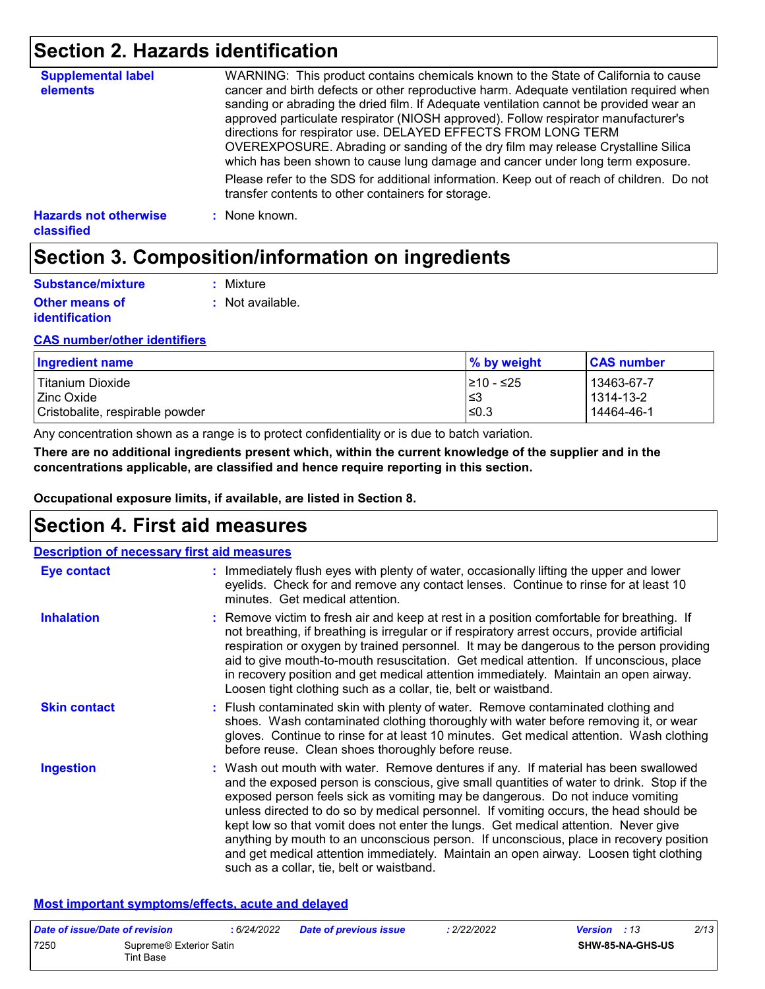### **Section 2. Hazards identification**

| <b>Supplemental label</b><br>elements             | WARNING: This product contains chemicals known to the State of California to cause<br>cancer and birth defects or other reproductive harm. Adequate ventilation required when<br>sanding or abrading the dried film. If Adequate ventilation cannot be provided wear an<br>approved particulate respirator (NIOSH approved). Follow respirator manufacturer's<br>directions for respirator use. DELAYED EFFECTS FROM LONG TERM<br>OVEREXPOSURE. Abrading or sanding of the dry film may release Crystalline Silica<br>which has been shown to cause lung damage and cancer under long term exposure. |
|---------------------------------------------------|------------------------------------------------------------------------------------------------------------------------------------------------------------------------------------------------------------------------------------------------------------------------------------------------------------------------------------------------------------------------------------------------------------------------------------------------------------------------------------------------------------------------------------------------------------------------------------------------------|
|                                                   | Please refer to the SDS for additional information. Keep out of reach of children. Do not<br>transfer contents to other containers for storage.                                                                                                                                                                                                                                                                                                                                                                                                                                                      |
| <b>Hazards not otherwise</b><br><b>classified</b> | : None known.                                                                                                                                                                                                                                                                                                                                                                                                                                                                                                                                                                                        |

### **Section 3. Composition/information on ingredients**

| Substance/mixture                              | : Mixture        |
|------------------------------------------------|------------------|
| <b>Other means of</b><br><i>identification</i> | : Not available. |

#### **CAS number/other identifiers**

| Ingredient name                 | % by weight | <b>CAS number</b> |
|---------------------------------|-------------|-------------------|
| Titanium Dioxide                | 1≥10 - ≤25  | 13463-67-7        |
| I Zinc Oxide                    | ા≤3         | 1314-13-2         |
| Cristobalite, respirable powder | l≤0.3       | 14464-46-1        |

Any concentration shown as a range is to protect confidentiality or is due to batch variation.

**There are no additional ingredients present which, within the current knowledge of the supplier and in the concentrations applicable, are classified and hence require reporting in this section.**

**Occupational exposure limits, if available, are listed in Section 8.**

### **Section 4. First aid measures**

| <b>Description of necessary first aid measures</b> |                                                                                                                                                                                                                                                                                                                                                                                                                                                                                                                                                                                                                                                                                   |
|----------------------------------------------------|-----------------------------------------------------------------------------------------------------------------------------------------------------------------------------------------------------------------------------------------------------------------------------------------------------------------------------------------------------------------------------------------------------------------------------------------------------------------------------------------------------------------------------------------------------------------------------------------------------------------------------------------------------------------------------------|
| Eye contact                                        | : Immediately flush eyes with plenty of water, occasionally lifting the upper and lower<br>eyelids. Check for and remove any contact lenses. Continue to rinse for at least 10<br>minutes. Get medical attention.                                                                                                                                                                                                                                                                                                                                                                                                                                                                 |
| <b>Inhalation</b>                                  | : Remove victim to fresh air and keep at rest in a position comfortable for breathing. If<br>not breathing, if breathing is irregular or if respiratory arrest occurs, provide artificial<br>respiration or oxygen by trained personnel. It may be dangerous to the person providing<br>aid to give mouth-to-mouth resuscitation. Get medical attention. If unconscious, place<br>in recovery position and get medical attention immediately. Maintain an open airway.<br>Loosen tight clothing such as a collar, tie, belt or waistband.                                                                                                                                         |
| <b>Skin contact</b>                                | : Flush contaminated skin with plenty of water. Remove contaminated clothing and<br>shoes. Wash contaminated clothing thoroughly with water before removing it, or wear<br>gloves. Continue to rinse for at least 10 minutes. Get medical attention. Wash clothing<br>before reuse. Clean shoes thoroughly before reuse.                                                                                                                                                                                                                                                                                                                                                          |
| <b>Ingestion</b>                                   | : Wash out mouth with water. Remove dentures if any. If material has been swallowed<br>and the exposed person is conscious, give small quantities of water to drink. Stop if the<br>exposed person feels sick as vomiting may be dangerous. Do not induce vomiting<br>unless directed to do so by medical personnel. If vomiting occurs, the head should be<br>kept low so that vomit does not enter the lungs. Get medical attention. Never give<br>anything by mouth to an unconscious person. If unconscious, place in recovery position<br>and get medical attention immediately. Maintain an open airway. Loosen tight clothing<br>such as a collar, tie, belt or waistband. |

#### **Most important symptoms/effects, acute and delayed**

| Date of issue/Date of revision |                                      | : 6/24/2022 | <b>Date of previous issue</b> | .2/22/2022 | 2/13<br><b>Version</b> : 13 |
|--------------------------------|--------------------------------------|-------------|-------------------------------|------------|-----------------------------|
| 7250                           | Supreme® Exterior Satin<br>Tint Base |             |                               |            | <b>SHW-85-NA-GHS-US</b>     |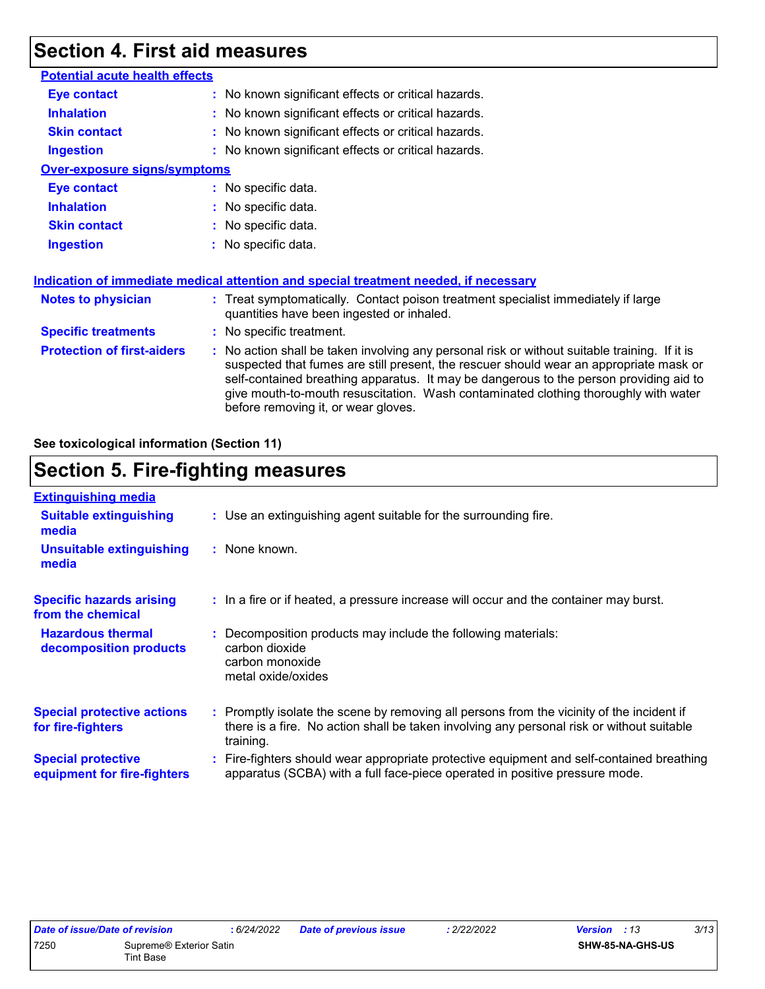### **Section 4. First aid measures**

| <b>Potential acute health effects</b> |                                                                                                                                                                                                                                                                                                                                                                                                                 |
|---------------------------------------|-----------------------------------------------------------------------------------------------------------------------------------------------------------------------------------------------------------------------------------------------------------------------------------------------------------------------------------------------------------------------------------------------------------------|
| <b>Eye contact</b>                    | : No known significant effects or critical hazards.                                                                                                                                                                                                                                                                                                                                                             |
| <b>Inhalation</b>                     | : No known significant effects or critical hazards.                                                                                                                                                                                                                                                                                                                                                             |
| <b>Skin contact</b>                   | : No known significant effects or critical hazards.                                                                                                                                                                                                                                                                                                                                                             |
| <b>Ingestion</b>                      | : No known significant effects or critical hazards.                                                                                                                                                                                                                                                                                                                                                             |
| <b>Over-exposure signs/symptoms</b>   |                                                                                                                                                                                                                                                                                                                                                                                                                 |
| <b>Eye contact</b>                    | : No specific data.                                                                                                                                                                                                                                                                                                                                                                                             |
| <b>Inhalation</b>                     | : No specific data.                                                                                                                                                                                                                                                                                                                                                                                             |
| <b>Skin contact</b>                   | : No specific data.                                                                                                                                                                                                                                                                                                                                                                                             |
| <b>Ingestion</b>                      | : No specific data.                                                                                                                                                                                                                                                                                                                                                                                             |
|                                       | <b>Indication of immediate medical attention and special treatment needed, if necessary</b>                                                                                                                                                                                                                                                                                                                     |
| <b>Notes to physician</b>             | : Treat symptomatically. Contact poison treatment specialist immediately if large<br>quantities have been ingested or inhaled.                                                                                                                                                                                                                                                                                  |
| <b>Specific treatments</b>            | : No specific treatment.                                                                                                                                                                                                                                                                                                                                                                                        |
| <b>Protection of first-aiders</b>     | : No action shall be taken involving any personal risk or without suitable training. If it is<br>suspected that fumes are still present, the rescuer should wear an appropriate mask or<br>self-contained breathing apparatus. It may be dangerous to the person providing aid to<br>give mouth-to-mouth resuscitation. Wash contaminated clothing thoroughly with water<br>before removing it, or wear gloves. |
|                                       |                                                                                                                                                                                                                                                                                                                                                                                                                 |

**See toxicological information (Section 11)**

### **Section 5. Fire-fighting measures**

| <b>Extinguishing media</b>                               |                                                                                                                                                                                                     |
|----------------------------------------------------------|-----------------------------------------------------------------------------------------------------------------------------------------------------------------------------------------------------|
| <b>Suitable extinguishing</b><br>media                   | : Use an extinguishing agent suitable for the surrounding fire.                                                                                                                                     |
| <b>Unsuitable extinguishing</b><br>media                 | : None known.                                                                                                                                                                                       |
| <b>Specific hazards arising</b><br>from the chemical     | : In a fire or if heated, a pressure increase will occur and the container may burst.                                                                                                               |
| <b>Hazardous thermal</b><br>decomposition products       | : Decomposition products may include the following materials:<br>carbon dioxide<br>carbon monoxide<br>metal oxide/oxides                                                                            |
| <b>Special protective actions</b><br>for fire-fighters   | : Promptly isolate the scene by removing all persons from the vicinity of the incident if<br>there is a fire. No action shall be taken involving any personal risk or without suitable<br>training. |
| <b>Special protective</b><br>equipment for fire-fighters | : Fire-fighters should wear appropriate protective equipment and self-contained breathing<br>apparatus (SCBA) with a full face-piece operated in positive pressure mode.                            |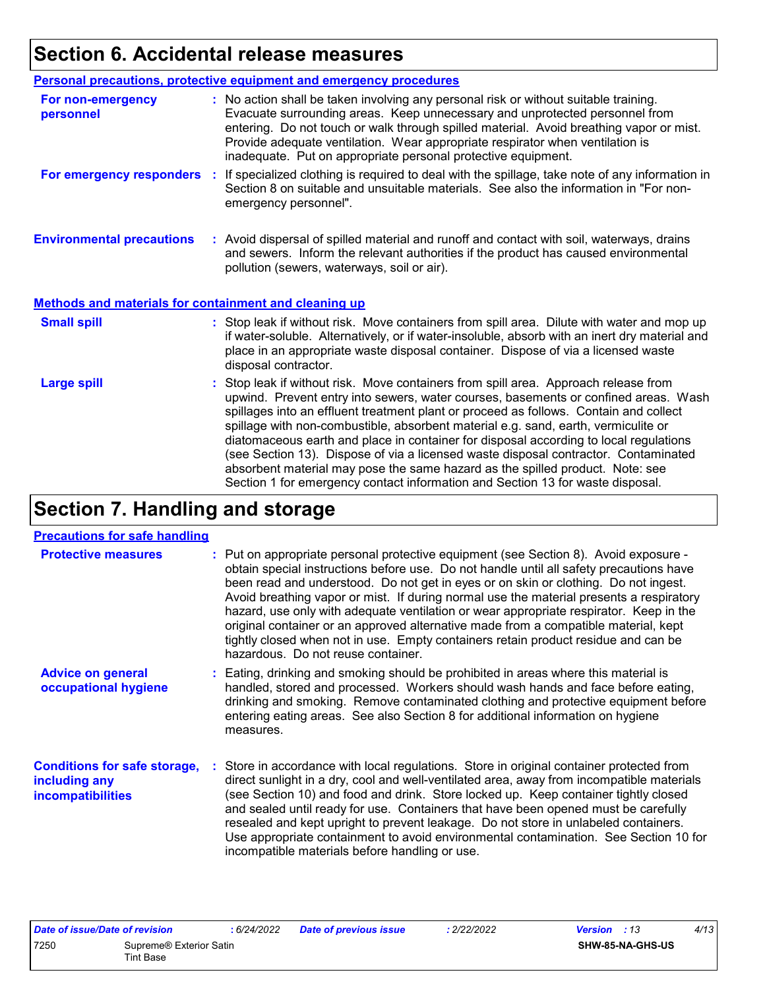# **Section 6. Accidental release measures**

|                                                              | Personal precautions, protective equipment and emergency procedures                                                                                                                                                                                                                                                                                                                                                                                                                                                                                                                                                                                                                                          |
|--------------------------------------------------------------|--------------------------------------------------------------------------------------------------------------------------------------------------------------------------------------------------------------------------------------------------------------------------------------------------------------------------------------------------------------------------------------------------------------------------------------------------------------------------------------------------------------------------------------------------------------------------------------------------------------------------------------------------------------------------------------------------------------|
| For non-emergency<br>personnel                               | : No action shall be taken involving any personal risk or without suitable training.<br>Evacuate surrounding areas. Keep unnecessary and unprotected personnel from<br>entering. Do not touch or walk through spilled material. Avoid breathing vapor or mist.<br>Provide adequate ventilation. Wear appropriate respirator when ventilation is<br>inadequate. Put on appropriate personal protective equipment.                                                                                                                                                                                                                                                                                             |
| For emergency responders                                     | : If specialized clothing is required to deal with the spillage, take note of any information in<br>Section 8 on suitable and unsuitable materials. See also the information in "For non-<br>emergency personnel".                                                                                                                                                                                                                                                                                                                                                                                                                                                                                           |
| <b>Environmental precautions</b>                             | : Avoid dispersal of spilled material and runoff and contact with soil, waterways, drains<br>and sewers. Inform the relevant authorities if the product has caused environmental<br>pollution (sewers, waterways, soil or air).                                                                                                                                                                                                                                                                                                                                                                                                                                                                              |
| <b>Methods and materials for containment and cleaning up</b> |                                                                                                                                                                                                                                                                                                                                                                                                                                                                                                                                                                                                                                                                                                              |
| <b>Small spill</b>                                           | : Stop leak if without risk. Move containers from spill area. Dilute with water and mop up<br>if water-soluble. Alternatively, or if water-insoluble, absorb with an inert dry material and<br>place in an appropriate waste disposal container. Dispose of via a licensed waste<br>disposal contractor.                                                                                                                                                                                                                                                                                                                                                                                                     |
| <b>Large spill</b>                                           | : Stop leak if without risk. Move containers from spill area. Approach release from<br>upwind. Prevent entry into sewers, water courses, basements or confined areas. Wash<br>spillages into an effluent treatment plant or proceed as follows. Contain and collect<br>spillage with non-combustible, absorbent material e.g. sand, earth, vermiculite or<br>diatomaceous earth and place in container for disposal according to local regulations<br>(see Section 13). Dispose of via a licensed waste disposal contractor. Contaminated<br>absorbent material may pose the same hazard as the spilled product. Note: see<br>Section 1 for emergency contact information and Section 13 for waste disposal. |

# **Section 7. Handling and storage**

### **Precautions for safe handling**

| <b>Protective measures</b>                                                       | : Put on appropriate personal protective equipment (see Section 8). Avoid exposure -<br>obtain special instructions before use. Do not handle until all safety precautions have<br>been read and understood. Do not get in eyes or on skin or clothing. Do not ingest.<br>Avoid breathing vapor or mist. If during normal use the material presents a respiratory<br>hazard, use only with adequate ventilation or wear appropriate respirator. Keep in the<br>original container or an approved alternative made from a compatible material, kept<br>tightly closed when not in use. Empty containers retain product residue and can be<br>hazardous. Do not reuse container. |
|----------------------------------------------------------------------------------|--------------------------------------------------------------------------------------------------------------------------------------------------------------------------------------------------------------------------------------------------------------------------------------------------------------------------------------------------------------------------------------------------------------------------------------------------------------------------------------------------------------------------------------------------------------------------------------------------------------------------------------------------------------------------------|
| <b>Advice on general</b><br>occupational hygiene                                 | : Eating, drinking and smoking should be prohibited in areas where this material is<br>handled, stored and processed. Workers should wash hands and face before eating,<br>drinking and smoking. Remove contaminated clothing and protective equipment before<br>entering eating areas. See also Section 8 for additional information on hygiene<br>measures.                                                                                                                                                                                                                                                                                                                  |
| <b>Conditions for safe storage,</b><br>including any<br><i>incompatibilities</i> | : Store in accordance with local regulations. Store in original container protected from<br>direct sunlight in a dry, cool and well-ventilated area, away from incompatible materials<br>(see Section 10) and food and drink. Store locked up. Keep container tightly closed<br>and sealed until ready for use. Containers that have been opened must be carefully<br>resealed and kept upright to prevent leakage. Do not store in unlabeled containers.<br>Use appropriate containment to avoid environmental contamination. See Section 10 for<br>incompatible materials before handling or use.                                                                            |

|      | Date of issue/Date of revision | : 6/24/2022 | <b>Date of previous issue</b> | 2/22/2022 | <b>Version</b> : 13 | 4/13 |
|------|--------------------------------|-------------|-------------------------------|-----------|---------------------|------|
| 7250 | Supreme® Exterior Satin        |             |                               |           | SHW-85-NA-GHS-US    |      |
|      | Tint Base                      |             |                               |           |                     |      |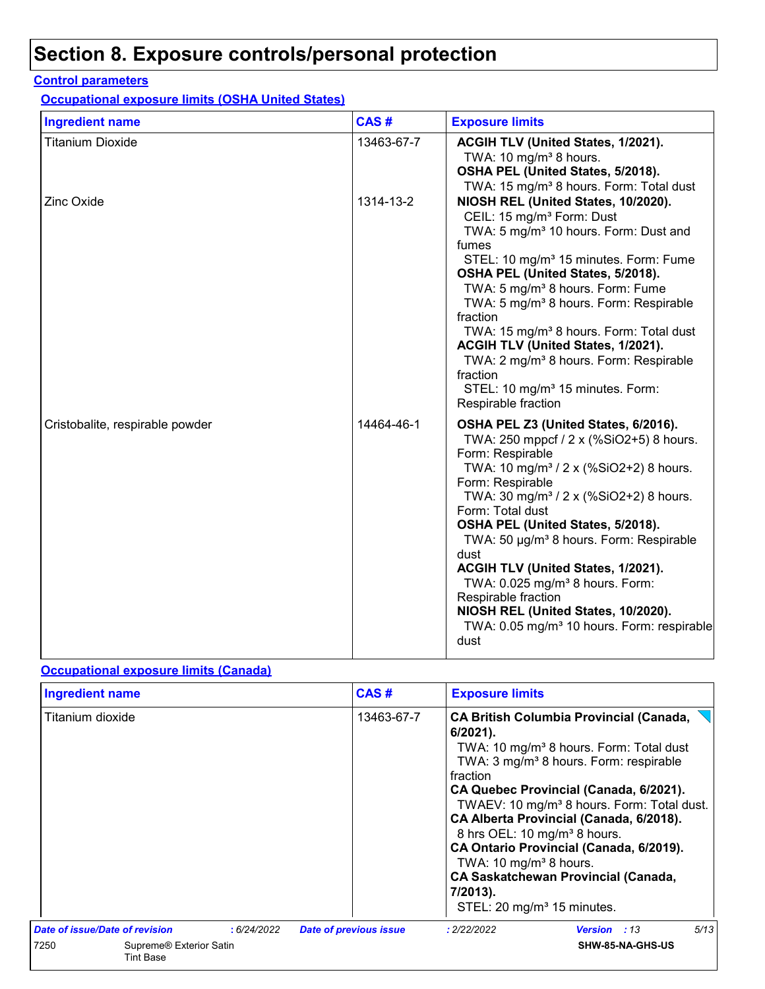# **Section 8. Exposure controls/personal protection**

### **Control parameters**

**Occupational exposure limits (OSHA United States)**

| <b>Ingredient name</b>          | CAS#       | <b>Exposure limits</b>                                                                                                                                                                                                                                                                                                                                                                                                                                                                                                                                                                                                                              |
|---------------------------------|------------|-----------------------------------------------------------------------------------------------------------------------------------------------------------------------------------------------------------------------------------------------------------------------------------------------------------------------------------------------------------------------------------------------------------------------------------------------------------------------------------------------------------------------------------------------------------------------------------------------------------------------------------------------------|
| <b>Titanium Dioxide</b>         | 13463-67-7 | ACGIH TLV (United States, 1/2021).<br>TWA: 10 mg/m <sup>3</sup> 8 hours.<br>OSHA PEL (United States, 5/2018).                                                                                                                                                                                                                                                                                                                                                                                                                                                                                                                                       |
| Zinc Oxide                      | 1314-13-2  | TWA: 15 mg/m <sup>3</sup> 8 hours. Form: Total dust<br>NIOSH REL (United States, 10/2020).<br>CEIL: 15 mg/m <sup>3</sup> Form: Dust<br>TWA: 5 mg/m <sup>3</sup> 10 hours. Form: Dust and<br>fumes<br>STEL: 10 mg/m <sup>3</sup> 15 minutes. Form: Fume<br>OSHA PEL (United States, 5/2018).<br>TWA: 5 mg/m <sup>3</sup> 8 hours. Form: Fume<br>TWA: 5 mg/m <sup>3</sup> 8 hours. Form: Respirable<br>fraction<br>TWA: 15 mg/m <sup>3</sup> 8 hours. Form: Total dust<br>ACGIH TLV (United States, 1/2021).<br>TWA: 2 mg/m <sup>3</sup> 8 hours. Form: Respirable<br>fraction<br>STEL: 10 mg/m <sup>3</sup> 15 minutes. Form:<br>Respirable fraction |
| Cristobalite, respirable powder | 14464-46-1 | OSHA PEL Z3 (United States, 6/2016).<br>TWA: 250 mppcf / 2 x (%SiO2+5) 8 hours.<br>Form: Respirable<br>TWA: 10 mg/m <sup>3</sup> / 2 x (%SiO2+2) 8 hours.<br>Form: Respirable<br>TWA: 30 mg/m <sup>3</sup> / 2 x (%SiO2+2) 8 hours.<br>Form: Total dust<br>OSHA PEL (United States, 5/2018).<br>TWA: 50 µg/m <sup>3</sup> 8 hours. Form: Respirable<br>dust<br>ACGIH TLV (United States, 1/2021).<br>TWA: 0.025 mg/m <sup>3</sup> 8 hours. Form:<br>Respirable fraction<br>NIOSH REL (United States, 10/2020).<br>TWA: 0.05 mg/m <sup>3</sup> 10 hours. Form: respirable<br>dust                                                                    |

### **Occupational exposure limits (Canada)**

| <b>Ingredient name</b>                |                                             | CAS#                          | <b>Exposure limits</b>                                                                                                                                          |                                                                                                                                                                                                                                                                                                                                                                                                     |      |  |
|---------------------------------------|---------------------------------------------|-------------------------------|-----------------------------------------------------------------------------------------------------------------------------------------------------------------|-----------------------------------------------------------------------------------------------------------------------------------------------------------------------------------------------------------------------------------------------------------------------------------------------------------------------------------------------------------------------------------------------------|------|--|
| Titanium dioxide                      |                                             | 13463-67-7                    | $6/2021$ ).<br>fraction<br>8 hrs OEL: 10 mg/m <sup>3</sup> 8 hours.<br>TWA: 10 mg/m <sup>3</sup> 8 hours.<br>7/2013).<br>STEL: 20 mg/m <sup>3</sup> 15 minutes. | <b>CA British Columbia Provincial (Canada,</b><br>TWA: 10 mg/m <sup>3</sup> 8 hours. Form: Total dust<br>TWA: 3 mg/m <sup>3</sup> 8 hours. Form: respirable<br>CA Quebec Provincial (Canada, 6/2021).<br>TWAEV: 10 mg/m <sup>3</sup> 8 hours. Form: Total dust.<br>CA Alberta Provincial (Canada, 6/2018).<br>CA Ontario Provincial (Canada, 6/2019).<br><b>CA Saskatchewan Provincial (Canada,</b> |      |  |
| <b>Date of issue/Date of revision</b> | :6/24/2022                                  | <b>Date of previous issue</b> | : 2/22/2022                                                                                                                                                     | <b>Version</b> : 13                                                                                                                                                                                                                                                                                                                                                                                 | 5/13 |  |
| 7250                                  | Supreme® Exterior Satin<br><b>Tint Base</b> |                               |                                                                                                                                                                 | SHW-85-NA-GHS-US                                                                                                                                                                                                                                                                                                                                                                                    |      |  |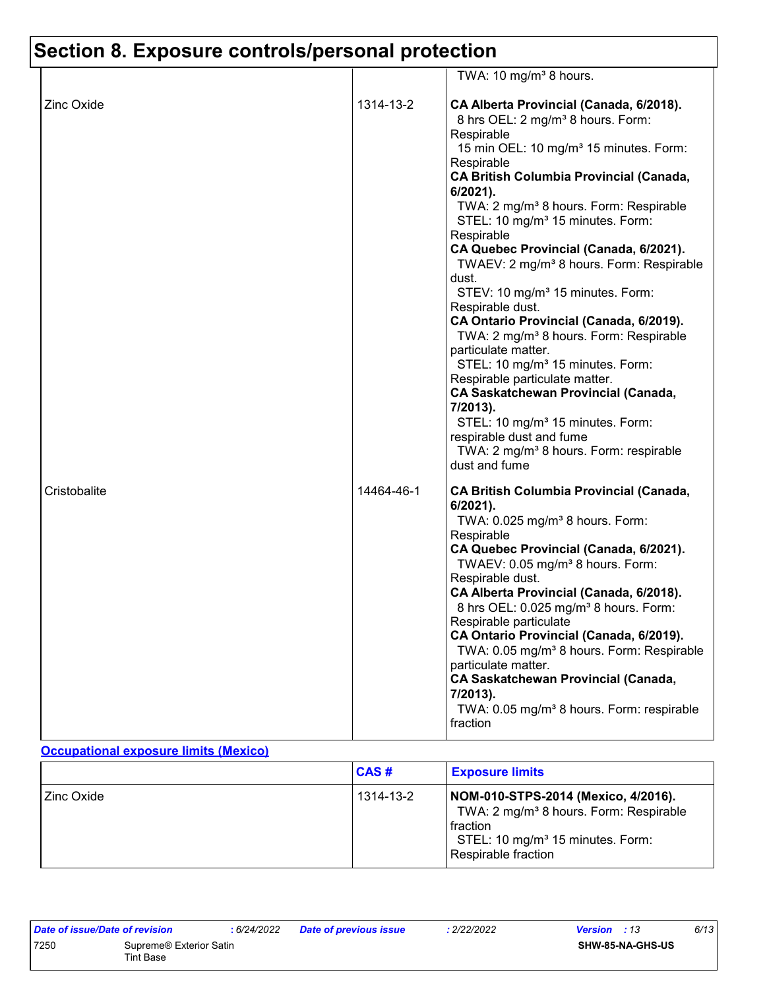# **Section 8. Exposure controls/personal protection**

|                   |            | TWA: 10 mg/m <sup>3</sup> 8 hours.                                                                                                                                                                                                                                                                                                                                                                                                                                                                                                                                                                                                                                                                                                                                                                                                                                                                                                                                 |
|-------------------|------------|--------------------------------------------------------------------------------------------------------------------------------------------------------------------------------------------------------------------------------------------------------------------------------------------------------------------------------------------------------------------------------------------------------------------------------------------------------------------------------------------------------------------------------------------------------------------------------------------------------------------------------------------------------------------------------------------------------------------------------------------------------------------------------------------------------------------------------------------------------------------------------------------------------------------------------------------------------------------|
| <b>Zinc Oxide</b> | 1314-13-2  | CA Alberta Provincial (Canada, 6/2018).<br>8 hrs OEL: 2 mg/m <sup>3</sup> 8 hours. Form:<br>Respirable<br>15 min OEL: 10 mg/m <sup>3</sup> 15 minutes. Form:<br>Respirable<br><b>CA British Columbia Provincial (Canada,</b><br>6/2021).<br>TWA: 2 mg/m <sup>3</sup> 8 hours. Form: Respirable<br>STEL: 10 mg/m <sup>3</sup> 15 minutes. Form:<br>Respirable<br>CA Quebec Provincial (Canada, 6/2021).<br>TWAEV: 2 mg/m <sup>3</sup> 8 hours. Form: Respirable<br>dust.<br>STEV: 10 mg/m <sup>3</sup> 15 minutes. Form:<br>Respirable dust.<br>CA Ontario Provincial (Canada, 6/2019).<br>TWA: 2 mg/m <sup>3</sup> 8 hours. Form: Respirable<br>particulate matter.<br>STEL: 10 mg/m <sup>3</sup> 15 minutes. Form:<br>Respirable particulate matter.<br><b>CA Saskatchewan Provincial (Canada,</b><br>7/2013).<br>STEL: 10 mg/m <sup>3</sup> 15 minutes. Form:<br>respirable dust and fume<br>TWA: 2 mg/m <sup>3</sup> 8 hours. Form: respirable<br>dust and fume |
| Cristobalite      | 14464-46-1 | <b>CA British Columbia Provincial (Canada,</b><br>6/2021).<br>TWA: 0.025 mg/m <sup>3</sup> 8 hours. Form:<br>Respirable<br>CA Quebec Provincial (Canada, 6/2021).<br>TWAEV: 0.05 mg/m <sup>3</sup> 8 hours. Form:<br>Respirable dust.<br>CA Alberta Provincial (Canada, 6/2018).<br>8 hrs OEL: 0.025 mg/m <sup>3</sup> 8 hours. Form:<br>Respirable particulate<br>CA Ontario Provincial (Canada, 6/2019).<br>TWA: 0.05 mg/m <sup>3</sup> 8 hours. Form: Respirable<br>particulate matter.<br><b>CA Saskatchewan Provincial (Canada,</b><br>7/2013).<br>TWA: 0.05 mg/m <sup>3</sup> 8 hours. Form: respirable<br>fraction                                                                                                                                                                                                                                                                                                                                          |

#### **Occupational exposure limits (Mexico)**

|                   | CAS#      | <b>Exposure limits</b>                                                                                                                                                         |
|-------------------|-----------|--------------------------------------------------------------------------------------------------------------------------------------------------------------------------------|
| <b>Zinc Oxide</b> | 1314-13-2 | NOM-010-STPS-2014 (Mexico, 4/2016).<br>TWA: 2 mg/m <sup>3</sup> 8 hours. Form: Respirable<br>I fraction<br>STEL: 10 mg/m <sup>3</sup> 15 minutes. Form:<br>Respirable fraction |

| Date of issue/Date of revision |                                      | : 6/24/2022 | <b>Date of previous issue</b> | : 2/22/2022 | <b>Version</b> : 13 |                         | 6/13 |
|--------------------------------|--------------------------------------|-------------|-------------------------------|-------------|---------------------|-------------------------|------|
| 7250                           | Supreme® Exterior Satin<br>Tint Base |             |                               |             |                     | <b>SHW-85-NA-GHS-US</b> |      |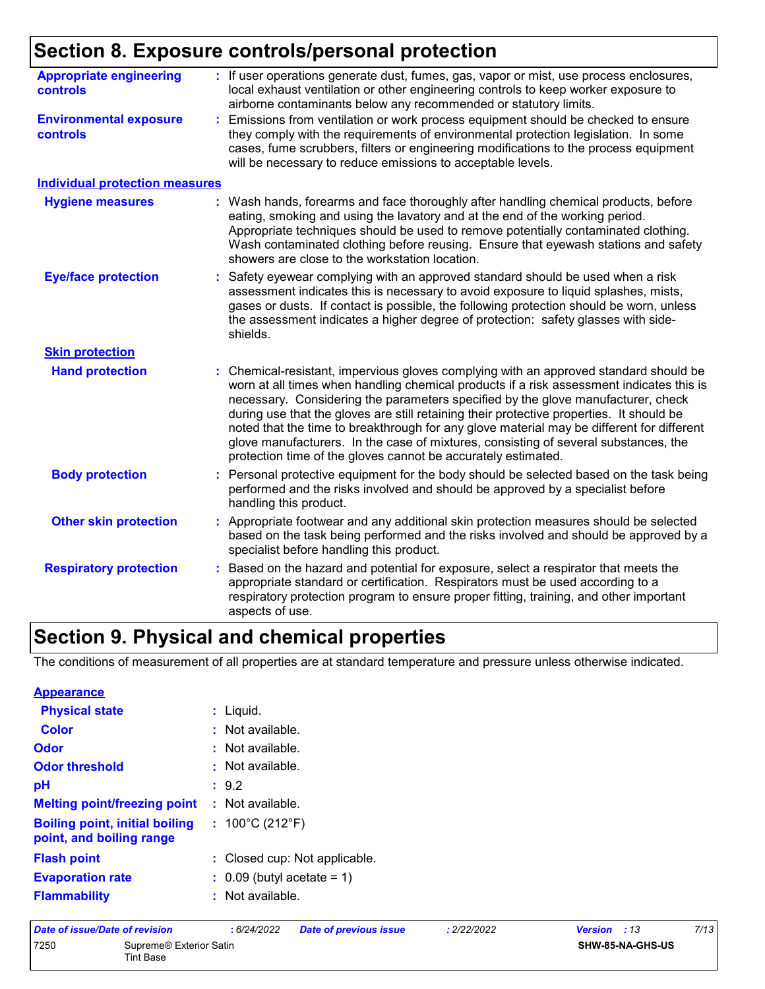## **Section 8. Exposure controls/personal protection**

| <b>Appropriate engineering</b><br><b>controls</b> | : If user operations generate dust, fumes, gas, vapor or mist, use process enclosures,<br>local exhaust ventilation or other engineering controls to keep worker exposure to<br>airborne contaminants below any recommended or statutory limits.                                                                                                                                                                                                                                                                                                                                                                     |
|---------------------------------------------------|----------------------------------------------------------------------------------------------------------------------------------------------------------------------------------------------------------------------------------------------------------------------------------------------------------------------------------------------------------------------------------------------------------------------------------------------------------------------------------------------------------------------------------------------------------------------------------------------------------------------|
| <b>Environmental exposure</b><br><b>controls</b>  | Emissions from ventilation or work process equipment should be checked to ensure<br>they comply with the requirements of environmental protection legislation. In some<br>cases, fume scrubbers, filters or engineering modifications to the process equipment<br>will be necessary to reduce emissions to acceptable levels.                                                                                                                                                                                                                                                                                        |
| <b>Individual protection measures</b>             |                                                                                                                                                                                                                                                                                                                                                                                                                                                                                                                                                                                                                      |
| <b>Hygiene measures</b>                           | Wash hands, forearms and face thoroughly after handling chemical products, before<br>eating, smoking and using the lavatory and at the end of the working period.<br>Appropriate techniques should be used to remove potentially contaminated clothing.<br>Wash contaminated clothing before reusing. Ensure that eyewash stations and safety<br>showers are close to the workstation location.                                                                                                                                                                                                                      |
| <b>Eye/face protection</b>                        | Safety eyewear complying with an approved standard should be used when a risk<br>assessment indicates this is necessary to avoid exposure to liquid splashes, mists,<br>gases or dusts. If contact is possible, the following protection should be worn, unless<br>the assessment indicates a higher degree of protection: safety glasses with side-<br>shields.                                                                                                                                                                                                                                                     |
| <b>Skin protection</b>                            |                                                                                                                                                                                                                                                                                                                                                                                                                                                                                                                                                                                                                      |
| <b>Hand protection</b>                            | Chemical-resistant, impervious gloves complying with an approved standard should be<br>worn at all times when handling chemical products if a risk assessment indicates this is<br>necessary. Considering the parameters specified by the glove manufacturer, check<br>during use that the gloves are still retaining their protective properties. It should be<br>noted that the time to breakthrough for any glove material may be different for different<br>glove manufacturers. In the case of mixtures, consisting of several substances, the<br>protection time of the gloves cannot be accurately estimated. |
| <b>Body protection</b>                            | Personal protective equipment for the body should be selected based on the task being<br>performed and the risks involved and should be approved by a specialist before<br>handling this product.                                                                                                                                                                                                                                                                                                                                                                                                                    |
| <b>Other skin protection</b>                      | Appropriate footwear and any additional skin protection measures should be selected<br>based on the task being performed and the risks involved and should be approved by a<br>specialist before handling this product.                                                                                                                                                                                                                                                                                                                                                                                              |
| <b>Respiratory protection</b>                     | Based on the hazard and potential for exposure, select a respirator that meets the<br>appropriate standard or certification. Respirators must be used according to a<br>respiratory protection program to ensure proper fitting, training, and other important<br>aspects of use.                                                                                                                                                                                                                                                                                                                                    |

### **Section 9. Physical and chemical properties**

The conditions of measurement of all properties are at standard temperature and pressure unless otherwise indicated.

| <b>Appearance</b>                                                 |                                       |
|-------------------------------------------------------------------|---------------------------------------|
| <b>Physical state</b>                                             | $:$ Liquid.                           |
| <b>Color</b>                                                      | $:$ Not available.                    |
| Odor                                                              | $:$ Not available.                    |
| <b>Odor threshold</b>                                             | $\cdot$ Not available.                |
| рH                                                                | : 9.2                                 |
| <b>Melting point/freezing point</b>                               | $\therefore$ Not available.           |
| <b>Boiling point, initial boiling</b><br>point, and boiling range | : $100^{\circ}$ C (212 $^{\circ}$ F)  |
| <b>Flash point</b>                                                | : Closed cup: Not applicable.         |
| <b>Evaporation rate</b>                                           | $\therefore$ 0.09 (butyl acetate = 1) |
| <b>Flammability</b>                                               | $:$ Not available.                    |

| Date of issue/Date of revision |                                                  | : 6/24/2022 | <b>Date of previous issue</b> | : 2/22/2022 | <b>Version</b> : 13 | 7/13 |
|--------------------------------|--------------------------------------------------|-------------|-------------------------------|-------------|---------------------|------|
| 7250                           | Supreme <sup>®</sup> Exterior Satin<br>Tint Base |             |                               |             | SHW-85-NA-GHS-US    |      |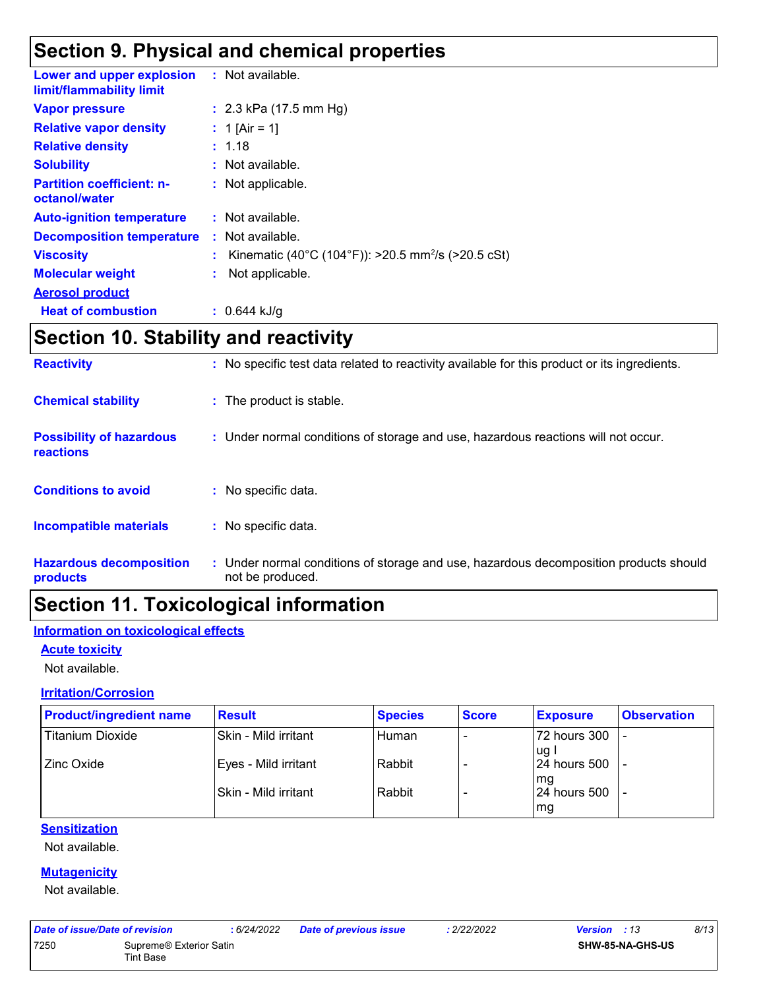### **Section 9. Physical and chemical properties**

| Lower and upper explosion<br>limit/flammability limit | : Not available.                                               |
|-------------------------------------------------------|----------------------------------------------------------------|
| <b>Vapor pressure</b>                                 | : $2.3$ kPa (17.5 mm Hg)                                       |
| <b>Relative vapor density</b>                         | : 1 [Air = 1]                                                  |
| <b>Relative density</b>                               | : 1.18                                                         |
| <b>Solubility</b>                                     | : Not available.                                               |
| <b>Partition coefficient: n-</b><br>octanol/water     | : Not applicable.                                              |
| <b>Auto-ignition temperature</b>                      | $:$ Not available.                                             |
| <b>Decomposition temperature</b>                      | $:$ Not available.                                             |
| <b>Viscosity</b>                                      | Kinematic (40°C (104°F)): >20.5 mm <sup>2</sup> /s (>20.5 cSt) |
| <b>Molecular weight</b>                               | Not applicable.                                                |
| <b>Aerosol product</b>                                |                                                                |
| <b>Heat of combustion</b>                             | : $0.644$ kJ/g                                                 |

### **Section 10. Stability and reactivity**

| <b>Reactivity</b>                            | : No specific test data related to reactivity available for this product or its ingredients.              |
|----------------------------------------------|-----------------------------------------------------------------------------------------------------------|
| <b>Chemical stability</b>                    | : The product is stable.                                                                                  |
| <b>Possibility of hazardous</b><br>reactions | : Under normal conditions of storage and use, hazardous reactions will not occur.                         |
| <b>Conditions to avoid</b>                   | : No specific data.                                                                                       |
| Incompatible materials                       | : No specific data.                                                                                       |
| <b>Hazardous decomposition</b><br>products   | : Under normal conditions of storage and use, hazardous decomposition products should<br>not be produced. |

### **Section 11. Toxicological information**

### **Information on toxicological effects**

#### **Acute toxicity**

Not available.

#### **Irritation/Corrosion**

| <b>Product/ingredient name</b> | <b>Result</b>        | <b>Species</b> | <b>Score</b> | <b>Exposure</b>       | <b>Observation</b> |
|--------------------------------|----------------------|----------------|--------------|-----------------------|--------------------|
| Titanium Dioxide               | Skin - Mild irritant | Human          |              | 72 hours 300          |                    |
| Zinc Oxide                     | Eyes - Mild irritant | Rabbit         |              | lug l<br>24 hours 500 |                    |
|                                | Skin - Mild irritant | Rabbit         |              | l ma<br>24 hours 500  |                    |
|                                |                      |                |              | mg                    |                    |

### **Sensitization**

Not available.

### **Mutagenicity**

Not available.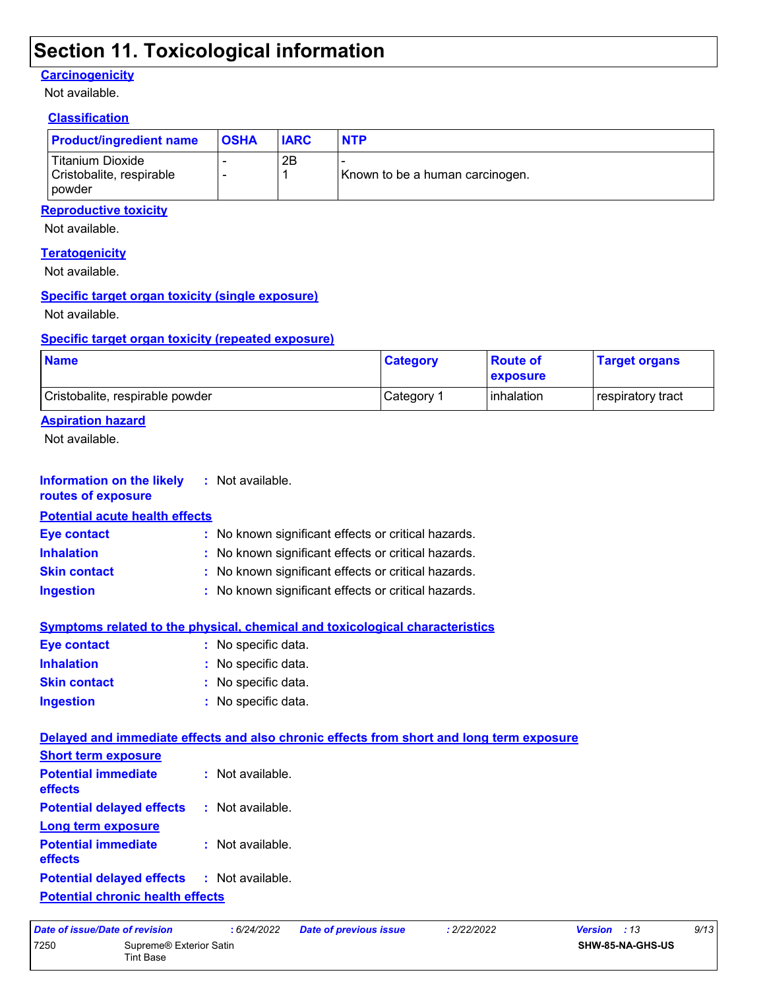### **Section 11. Toxicological information**

#### **Carcinogenicity**

Not available.

### **Classification**

| <b>Product/ingredient name</b>                                    | <b>OSHA</b> | <b>IARC</b> | <b>NTP</b>                      |
|-------------------------------------------------------------------|-------------|-------------|---------------------------------|
| l Titanium Dioxide<br>Cristobalite, respirable<br><b>I</b> powder |             | 2B          | Known to be a human carcinogen. |

### **Reproductive toxicity**

Not available.

#### **Teratogenicity**

Not available.

### **Specific target organ toxicity (single exposure)**

Not available.

#### **Specific target organ toxicity (repeated exposure)**

| <b>Name</b>                     | <b>Category</b> | <b>Route of</b><br><b>Lexposure</b> | <b>Target organs</b>     |
|---------------------------------|-----------------|-------------------------------------|--------------------------|
| Cristobalite, respirable powder | Category 1      | <b>l</b> inhalation                 | <b>respiratory tract</b> |

### **Aspiration hazard**

Not available.

| <b>Information on the likely</b><br>routes of exposure | : Not available.                                                                         |
|--------------------------------------------------------|------------------------------------------------------------------------------------------|
| <b>Potential acute health effects</b>                  |                                                                                          |
| <b>Eye contact</b>                                     | No known significant effects or critical hazards.                                        |
| <b>Inhalation</b>                                      | : No known significant effects or critical hazards.                                      |
| <b>Skin contact</b>                                    | : No known significant effects or critical hazards.                                      |
| <b>Ingestion</b>                                       | No known significant effects or critical hazards.                                        |
|                                                        | <b>Symptoms related to the physical, chemical and toxicological characteristics</b>      |
| <b>Eye contact</b>                                     | : No specific data.                                                                      |
| <b>Inhalation</b>                                      | No specific data.                                                                        |
| <b>Skin contact</b>                                    | : No specific data.                                                                      |
| <b>Ingestion</b>                                       | : No specific data.                                                                      |
|                                                        | Delayed and immediate effects and also chronic effects from short and long term exposure |
| <b>Short term exposure</b>                             |                                                                                          |
| <b>Potential immediate</b><br>effects                  | : Not available.                                                                         |
| <b>Potential delayed effects</b>                       | : Not available.                                                                         |
| <b>Long term exposure</b>                              |                                                                                          |
| <b>Potential immediate</b><br>effects                  | : Not available.                                                                         |
| <b>Potential delayed effects</b>                       | : Not available.                                                                         |
| <b>Potential chronic health effects</b>                |                                                                                          |

|      | Date of issue/Date of revision          | 6/24/2022 | Date of previous issue | 2/22/2022 | <b>Version</b> : 13 | 9/13 |
|------|-----------------------------------------|-----------|------------------------|-----------|---------------------|------|
| 7250 | Supreme® Exterior Satin                 |           |                        |           | SHW-85-NA-GHS-US    |      |
|      | $\mathop{\mathsf{r}}\nolimits$ int Base |           |                        |           |                     |      |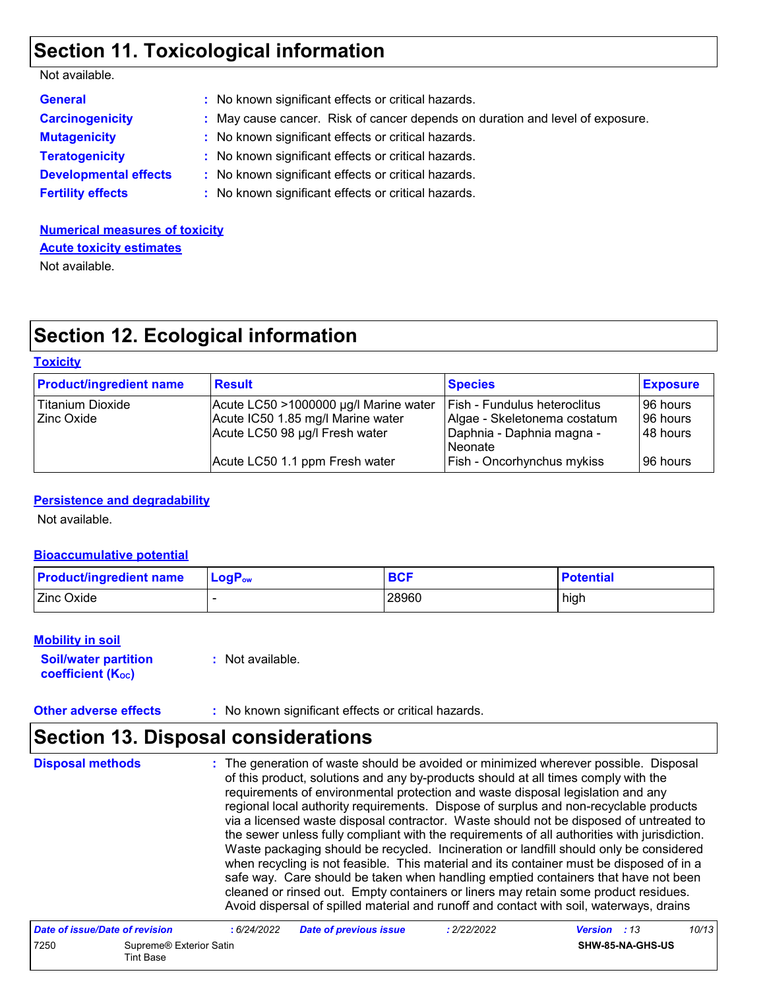### **Section 11. Toxicological information**

| Not available. |  |
|----------------|--|
|----------------|--|

| <b>General</b>               | : No known significant effects or critical hazards.                           |
|------------------------------|-------------------------------------------------------------------------------|
| <b>Carcinogenicity</b>       | : May cause cancer. Risk of cancer depends on duration and level of exposure. |
| <b>Mutagenicity</b>          | : No known significant effects or critical hazards.                           |
| <b>Teratogenicity</b>        | : No known significant effects or critical hazards.                           |
| <b>Developmental effects</b> | : No known significant effects or critical hazards.                           |
| <b>Fertility effects</b>     | : No known significant effects or critical hazards.                           |

**Numerical measures of toxicity** Not available. **Acute toxicity estimates**

### **Section 12. Ecological information**

#### **Toxicity**

| <b>Product/ingredient name</b> | <b>Result</b>                         | <b>Species</b>                      | <b>Exposure</b> |
|--------------------------------|---------------------------------------|-------------------------------------|-----------------|
| Titanium Dioxide               | Acute LC50 >1000000 µg/l Marine water | <b>Fish - Fundulus heteroclitus</b> | 196 hours       |
| <b>Zinc Oxide</b>              | Acute IC50 1.85 mg/l Marine water     | Algae - Skeletonema costatum        | 96 hours        |
|                                | Acute LC50 98 µg/l Fresh water        | Daphnia - Daphnia magna -           | 148 hours       |
|                                |                                       | l Neonate                           |                 |
|                                | Acute LC50 1.1 ppm Fresh water        | <b>Fish - Oncorhynchus mykiss</b>   | 96 hours        |

#### **Persistence and degradability**

Not available.

#### **Bioaccumulative potential**

| <b>Product/ingredient name</b> | ∣ LoqP <sub>ow</sub> | <b>BCF</b> | <b>Potential</b> |
|--------------------------------|----------------------|------------|------------------|
| Zinc Oxide                     |                      | 28960      | high             |

#### **Mobility in soil**

**Soil/water partition coefficient (KOC) :** Not available.

**Other adverse effects :** No known significant effects or critical hazards.

### **Section 13. Disposal considerations**

The generation of waste should be avoided or minimized wherever possible. Disposal of this product, solutions and any by-products should at all times comply with the requirements of environmental protection and waste disposal legislation and any regional local authority requirements. Dispose of surplus and non-recyclable products via a licensed waste disposal contractor. Waste should not be disposed of untreated to the sewer unless fully compliant with the requirements of all authorities with jurisdiction. Waste packaging should be recycled. Incineration or landfill should only be considered when recycling is not feasible. This material and its container must be disposed of in a safe way. Care should be taken when handling emptied containers that have not been cleaned or rinsed out. Empty containers or liners may retain some product residues. Avoid dispersal of spilled material and runoff and contact with soil, waterways, drains **Disposal methods :**

| Date of issue/Date of revision |                                      | : 6/24/2022 | <b>Date of previous issue</b> | : 2/22/2022 | <b>Version</b> : 13 |                         | 10/13 |
|--------------------------------|--------------------------------------|-------------|-------------------------------|-------------|---------------------|-------------------------|-------|
| 7250                           | Supreme® Exterior Satin<br>Tint Base |             |                               |             |                     | <b>SHW-85-NA-GHS-US</b> |       |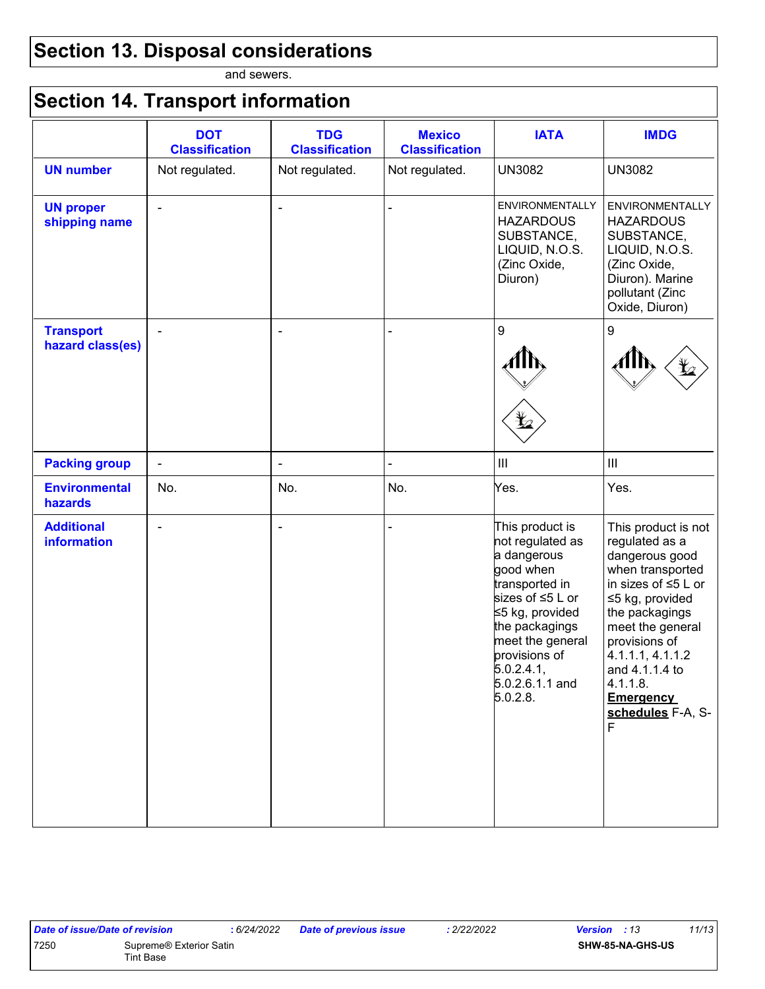# **Section 13. Disposal considerations**

and sewers.

# **Section 14. Transport information**

|                                      | <b>DOT</b><br><b>Classification</b> | <b>TDG</b><br><b>Classification</b> | <b>Mexico</b><br><b>Classification</b> | <b>IATA</b>                                                                                                                                                                                                                  | <b>IMDG</b>                                                                                                                                                                                                                                                                        |
|--------------------------------------|-------------------------------------|-------------------------------------|----------------------------------------|------------------------------------------------------------------------------------------------------------------------------------------------------------------------------------------------------------------------------|------------------------------------------------------------------------------------------------------------------------------------------------------------------------------------------------------------------------------------------------------------------------------------|
| <b>UN number</b>                     | Not regulated.                      | Not regulated.                      | Not regulated.                         | <b>UN3082</b>                                                                                                                                                                                                                | <b>UN3082</b>                                                                                                                                                                                                                                                                      |
| <b>UN proper</b><br>shipping name    | $\blacksquare$                      | $\overline{\phantom{a}}$            |                                        | <b>ENVIRONMENTALLY</b><br><b>HAZARDOUS</b><br>SUBSTANCE,<br>LIQUID, N.O.S.<br>(Zinc Oxide,<br>Diuron)                                                                                                                        | <b>ENVIRONMENTALLY</b><br><b>HAZARDOUS</b><br>SUBSTANCE,<br>LIQUID, N.O.S.<br>(Zinc Oxide,<br>Diuron). Marine<br>pollutant (Zinc<br>Oxide, Diuron)                                                                                                                                 |
| <b>Transport</b><br>hazard class(es) | $\blacksquare$                      | $\overline{\phantom{a}}$            |                                        | 9<br>⊻                                                                                                                                                                                                                       | 9<br>$\bigoplus$                                                                                                                                                                                                                                                                   |
| <b>Packing group</b>                 | $\blacksquare$                      | $\blacksquare$                      |                                        | $\ensuremath{\mathsf{III}}\xspace$                                                                                                                                                                                           | $\mathop{\rm III}\nolimits$                                                                                                                                                                                                                                                        |
| <b>Environmental</b><br>hazards      | No.                                 | No.                                 | No.                                    | Yes.                                                                                                                                                                                                                         | Yes.                                                                                                                                                                                                                                                                               |
| <b>Additional</b><br>information     | $\blacksquare$                      | $\blacksquare$                      |                                        | This product is<br>not regulated as<br>a dangerous<br>good when<br>transported in<br>sizes of ≤5 L or<br>≤5 kg, provided<br>the packagings<br>meet the general<br>provisions of<br>5.0.2.4.1,<br>5.0.2.6.1.1 and<br>5.0.2.8. | This product is not<br>regulated as a<br>dangerous good<br>when transported<br>in sizes of $\leq$ 5 L or<br>≤5 kg, provided<br>the packagings<br>meet the general<br>provisions of<br>4.1.1.1, 4.1.1.2<br>and 4.1.1.4 to<br>4.1.1.8.<br><b>Emergency</b><br>schedules F-A, S-<br>E |

| Date of issue/Date of revision |                                             | : 6/24/2022 | <b>Date of previous issue</b> | : 2/22/2022 | <b>Version</b> : 13     | 11/13 |
|--------------------------------|---------------------------------------------|-------------|-------------------------------|-------------|-------------------------|-------|
| 7250                           | Supreme® Exterior Satin<br><b>Tint Base</b> |             |                               |             | <b>SHW-85-NA-GHS-US</b> |       |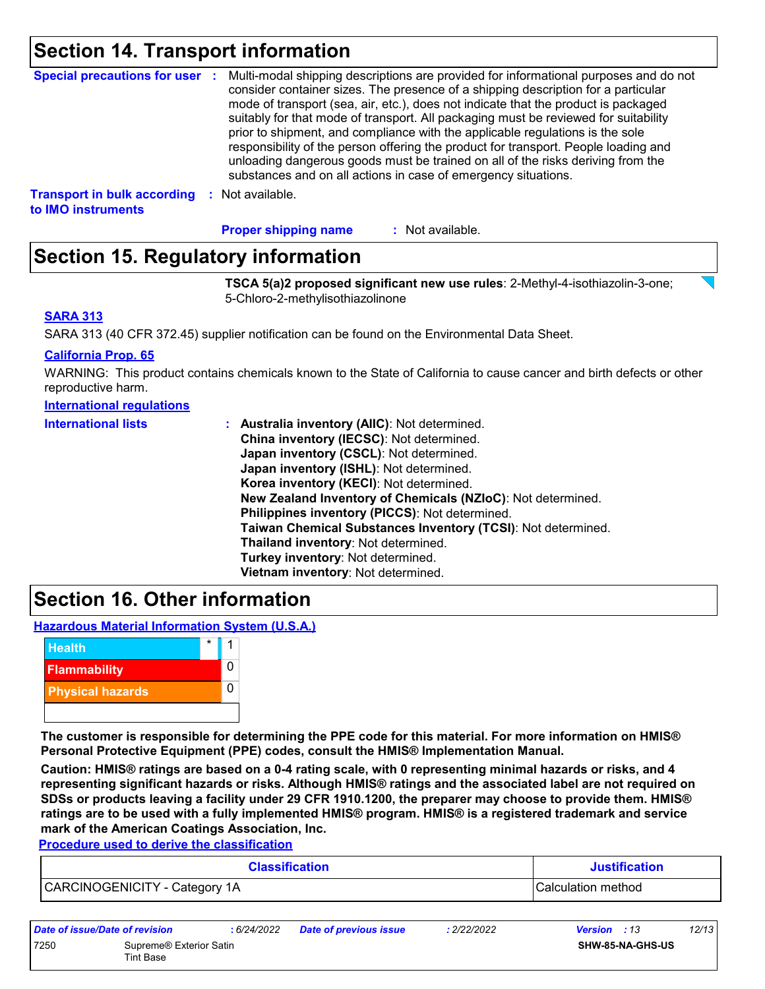### **Section 14. Transport information**

|                                                          | Special precautions for user : Multi-modal shipping descriptions are provided for informational purposes and do not<br>consider container sizes. The presence of a shipping description for a particular<br>mode of transport (sea, air, etc.), does not indicate that the product is packaged<br>suitably for that mode of transport. All packaging must be reviewed for suitability<br>prior to shipment, and compliance with the applicable regulations is the sole<br>responsibility of the person offering the product for transport. People loading and<br>unloading dangerous goods must be trained on all of the risks deriving from the<br>substances and on all actions in case of emergency situations. |
|----------------------------------------------------------|--------------------------------------------------------------------------------------------------------------------------------------------------------------------------------------------------------------------------------------------------------------------------------------------------------------------------------------------------------------------------------------------------------------------------------------------------------------------------------------------------------------------------------------------------------------------------------------------------------------------------------------------------------------------------------------------------------------------|
| <b>Transport in bulk according</b><br>to IMO instruments | : Not available.                                                                                                                                                                                                                                                                                                                                                                                                                                                                                                                                                                                                                                                                                                   |

: Not available. **Proper shipping name :**

### **Section 15. Regulatory information**

**TSCA 5(a)2 proposed significant new use rules**: 2-Methyl-4-isothiazolin-3-one; 5-Chloro-2-methylisothiazolinone

### **SARA 313**

SARA 313 (40 CFR 372.45) supplier notification can be found on the Environmental Data Sheet.

#### **California Prop. 65**

WARNING: This product contains chemicals known to the State of California to cause cancer and birth defects or other reproductive harm.

| International regulations |
|---------------------------|
|---------------------------|

| <b>International lists</b> | <b>Australia inventory (AllC): Not determined.</b>           |
|----------------------------|--------------------------------------------------------------|
|                            | China inventory (IECSC): Not determined.                     |
|                            | Japan inventory (CSCL): Not determined.                      |
|                            | Japan inventory (ISHL): Not determined.                      |
|                            | Korea inventory (KECI): Not determined.                      |
|                            | New Zealand Inventory of Chemicals (NZIoC): Not determined.  |
|                            | Philippines inventory (PICCS): Not determined.               |
|                            | Taiwan Chemical Substances Inventory (TCSI): Not determined. |
|                            | Thailand inventory: Not determined.                          |
|                            | Turkey inventory: Not determined.                            |
|                            | Vietnam inventory: Not determined.                           |

### **Section 16. Other information**

**Hazardous Material Information System (U.S.A.)**



**The customer is responsible for determining the PPE code for this material. For more information on HMIS® Personal Protective Equipment (PPE) codes, consult the HMIS® Implementation Manual.**

**Caution: HMIS® ratings are based on a 0-4 rating scale, with 0 representing minimal hazards or risks, and 4 representing significant hazards or risks. Although HMIS® ratings and the associated label are not required on SDSs or products leaving a facility under 29 CFR 1910.1200, the preparer may choose to provide them. HMIS® ratings are to be used with a fully implemented HMIS® program. HMIS® is a registered trademark and service mark of the American Coatings Association, Inc.**

**Procedure used to derive the classification**

| <b>Classification</b>         | <b>Justification</b> |
|-------------------------------|----------------------|
| CARCINOGENICITY - Category 1A | Calculation method   |

| Date of issue/Date of revision |                                      | : 6/24/2022 | Date of previous issue | : 2/22/2022 | <b>Version</b> : 13 |                         | 12/13 |
|--------------------------------|--------------------------------------|-------------|------------------------|-------------|---------------------|-------------------------|-------|
| 7250                           | Supreme® Exterior Satin<br>Tint Base |             |                        |             |                     | <b>SHW-85-NA-GHS-US</b> |       |